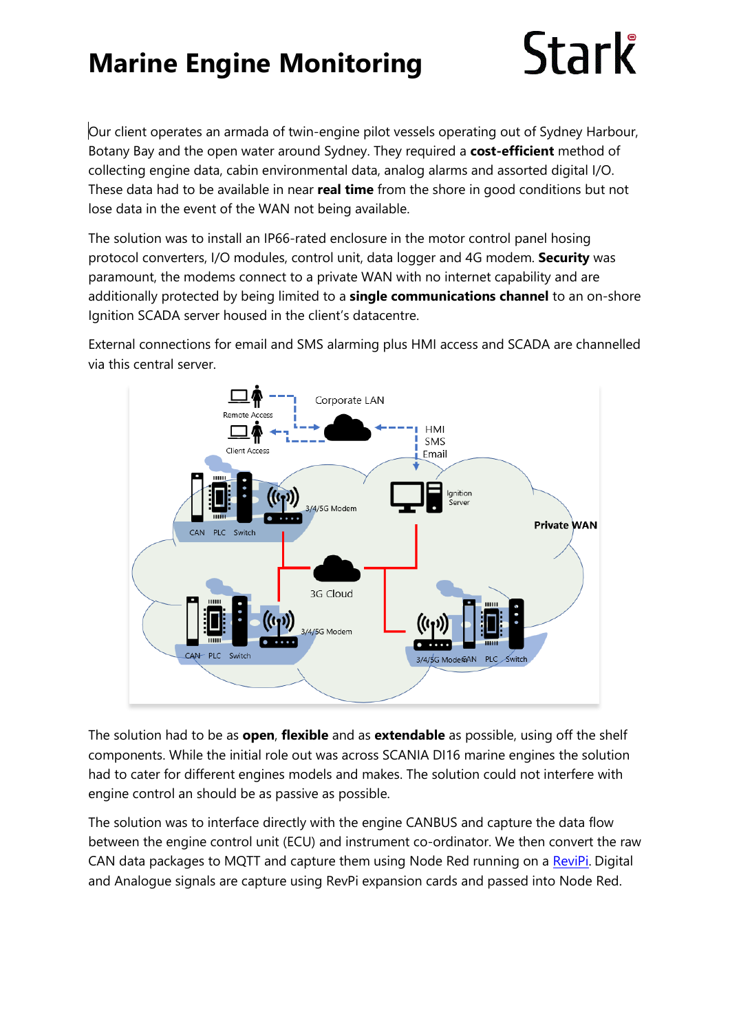## **Marine Engine Monitoring**

## Stark

Our client operates an armada of twin-engine pilot vessels operating out of Sydney Harbour, Botany Bay and the open water around Sydney. They required a **cost-efficient** method of collecting engine data, cabin environmental data, analog alarms and assorted digital I/O. These data had to be available in near **real time** from the shore in good conditions but not lose data in the event of the WAN not being available.

The solution was to install an IP66-rated enclosure in the motor control panel hosing protocol converters, I/O modules, control unit, data logger and 4G modem. **Security** was paramount, the modems connect to a private WAN with no internet capability and are additionally protected by being limited to a **single communications channel** to an on-shore Ignition SCADA server housed in the client's datacentre.

External connections for email and SMS alarming plus HMI access and SCADA are channelled via this central server.



The solution had to be as **open**, **flexible** and as **extendable** as possible, using off the shelf components. While the initial role out was across SCANIA DI16 marine engines the solution had to cater for different engines models and makes. The solution could not interfere with engine control an should be as passive as possible.

The solution was to interface directly with the engine CANBUS and capture the data flow between the engine control unit (ECU) and instrument co-ordinator. We then convert the raw CAN data packages to MQTT and capture them using Node Red running on a [ReviPi.](https://revolution.kunbus.com/) Digital and Analogue signals are capture using RevPi expansion cards and passed into Node Red.